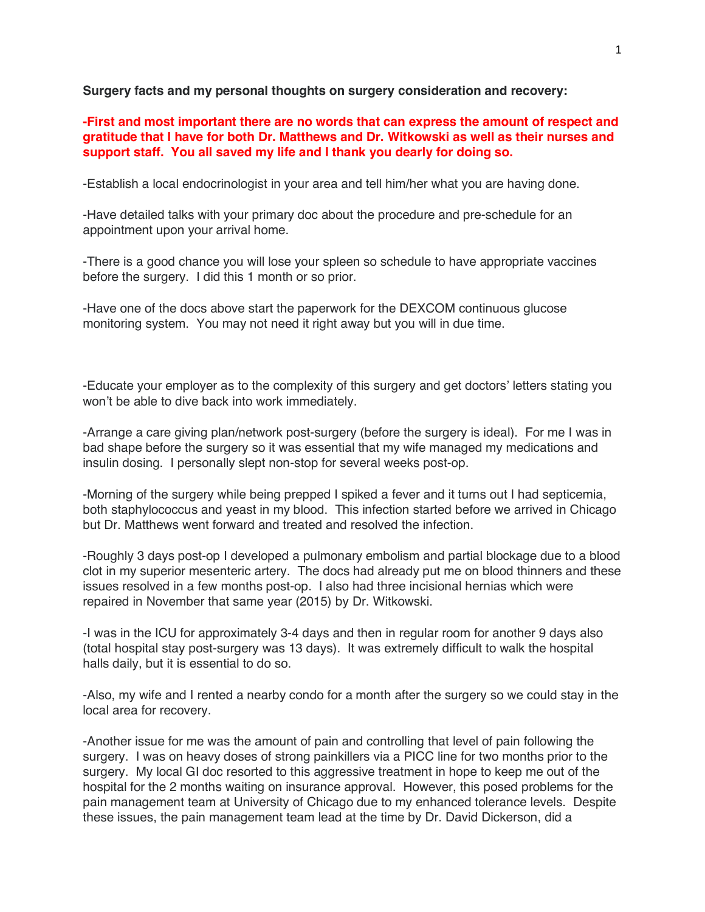**Surgery facts and my personal thoughts on surgery consideration and recovery:**

**-First and most important there are no words that can express the amount of respect and gratitude that I have for both Dr. Matthews and Dr. Witkowski as well as their nurses and support staff. You all saved my life and I thank you dearly for doing so.**

-Establish a local endocrinologist in your area and tell him/her what you are having done.

-Have detailed talks with your primary doc about the procedure and pre-schedule for an appointment upon your arrival home.

-There is a good chance you will lose your spleen so schedule to have appropriate vaccines before the surgery. I did this 1 month or so prior.

-Have one of the docs above start the paperwork for the DEXCOM continuous glucose monitoring system. You may not need it right away but you will in due time.

-Educate your employer as to the complexity of this surgery and get doctors' letters stating you won't be able to dive back into work immediately.

-Arrange a care giving plan/network post-surgery (before the surgery is ideal). For me I was in bad shape before the surgery so it was essential that my wife managed my medications and insulin dosing. I personally slept non-stop for several weeks post-op.

-Morning of the surgery while being prepped I spiked a fever and it turns out I had septicemia, both staphylococcus and yeast in my blood. This infection started before we arrived in Chicago but Dr. Matthews went forward and treated and resolved the infection.

-Roughly 3 days post-op I developed a pulmonary embolism and partial blockage due to a blood clot in my superior mesenteric artery. The docs had already put me on blood thinners and these issues resolved in a few months post-op. I also had three incisional hernias which were repaired in November that same year (2015) by Dr. Witkowski.

-I was in the ICU for approximately 3-4 days and then in regular room for another 9 days also (total hospital stay post-surgery was 13 days). It was extremely difficult to walk the hospital halls daily, but it is essential to do so.

-Also, my wife and I rented a nearby condo for a month after the surgery so we could stay in the local area for recovery.

-Another issue for me was the amount of pain and controlling that level of pain following the surgery. I was on heavy doses of strong painkillers via a PICC line for two months prior to the surgery. My local GI doc resorted to this aggressive treatment in hope to keep me out of the hospital for the 2 months waiting on insurance approval. However, this posed problems for the pain management team at University of Chicago due to my enhanced tolerance levels. Despite these issues, the pain management team lead at the time by Dr. David Dickerson, did a